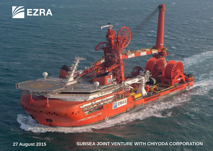

**27 AUGUST 2017 IN AUGUST 2017 AUGUST 2016 IN AUGUST 2016** 

FMAS

LEWEK CONSTELLATION

**27 August 2015**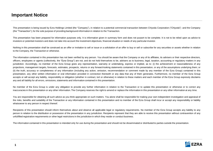#### **Important Notice**

This presentation is being issued by Ezra Holdings Limited (the "Company"), in relation to a potential commercial transaction between Chiyoda Corporation ("Chiyoda") and the Company (the "Transaction"), for the sole purpose of providing background information in relation to the Transaction.

This presentation has been prepared for information purposes only. It is information given in summary form and does not purport to be complete. It is not to be relied upon as advice to investors or potential investors and does not take into account the investment objectives, financial situation or needs of any particular investor.

Nothing in this presentation shall be construed as an offer or invitation to sell or issue or a solicitation of an offer to buy or sell or subscribe for any securities or assets whether in relation to the Company, the Transaction or otherwise.

The information contained in this presentation has not been verified by any person. You should be aware that the Company or any of its affiliates, its advisers or their respective directors, officers, employees or agents (collectively, the "Ezra Group") are not, and do not hold themselves to be, advisers as to business, legal, taxation, accounting or regulatory matters in any jurisdiction. Accordingly, no member of the Ezra Group gives any representation, warranty or undertaking, express or implied, as to: (i) the achievement or reasonableness of any projections, management targets, forecasts, estimates, prospects, returns or any forward-looking statements contained in this presentation, or any of the assumptions underlying them; or (ii) the truth, accuracy or completeness of any information (including any action, omission, recommendation or comment made by any member of the Ezra Group) contained in this presentation, any other written information or oral information provided in connection therewith or any data that any of them generates. Furthermore, no member of the Ezra Group accepts or will accept any liability, responsibility or obligation (whether in contract, tort or otherwise) in relation to these matters and each member of the Ezra Group expressly disclaims any and all liability for all errors, omissions, statements and information contained in this presentation.

No member of the Ezra Group is under any obligation to provide any further information in relation to the Transaction or to update this presentation or otherwise or to correct any inaccuracies in this presentation or any other information.The Company reserves the right to amend or replace the information in this presentation or any other information at any time.

You are responsible for obtaining all such advice as you think appropriate on such matters. You alone shall be responsible for making your own independent investigation and appraisal of the risks, benefits and suitability of the Transaction or any information contained in this presentation and no member of the Ezra Group shall incur or accept any responsibility or liability whatsoever to any person in respect thereof.

Recipients of this presentation should inform themselves about and observe all applicable legal or regulatory requirements. No member of the Ezra Group accepts any liability to any person in relation to the distribution or possession of the presentation in any jurisdiction. Recipients represent that they are able to receive this presentation without contravention of any unfulfilled registration requirements or other legal restrictions in the jurisdiction in which they reside or conduct business.

The information contained in this presentation is intended only for use during the presentation and should not be disseminated or distributed to parties outside the presentation.

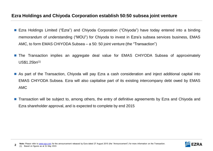### **Ezra Holdings and Chiyoda Corporation establish 50:50 subsea joint venture**

- Ezra Holdings Limited ("Ezra") and Chiyoda Corporation ("Chiyoda") have today entered into a binding memorandum of understanding ("MOU") for Chiyoda to invest in Ezra's subsea services business, EMAS AMC, to form EMAS CHIYODA Subsea – a 50: 50 joint venture (the "Transaction")
- **The Transaction implies an aggregate deal value for EMAS CHIYODA Subsea of approximately** US\$1.25bn(1)
- As part of the Transaction, Chiyoda will pay Ezra a cash consideration and inject additional capital into EMAS CHIYODA Subsea. Ezra will also capitalise part of its existing intercompany debt owed by EMAS AMC
- Transaction will be subject to, among others, the entry of definitive agreements by Ezra and Chiyoda and Ezra shareholder approval, and is expected to complete by end 2015

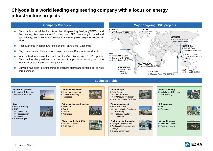## **Chiyoda is a world leading engineering company with a focus on energy infrastructure projects**

- Chiyoda is a world leading Front End Engineering Design ("FEED") and Engineering, Procurement and Construction ("EPC") company in the oil and gas industry, with a history of almost 70 years of project experiences worldwide
- Headquartered in Japan and listed on the Tokyo Stock Exchange
- Chiyoda has executed numerous projects in over 40 countries worldwide
- Its core business operations include Liquefied Natural Gas ("LNG") plants. Chiyoda has designed and constructed LNG plants accounting for more than 40% of global production capacity
- **Chiyoda has been strengthening its offshore upstream portfolio as its next** core business



#### **Business Fields**

#### **Offshore & Upstream** ■ Integrated Offshore & Upstream Services **Gas** ■ Gas Processing **LNG**  $\blacksquare$  Liquefaction  $\blacksquare$  Regasification  $\blacksquare$  Floating Synthesis gas **Green Energy** Solar Energy CSP I PV Power PV Module Production **Hydrogen Supply Business Water Management**  $\blacksquare$  Industrial Water Waste Water Treatment+ Recycling **Produced Water Treatment Environmental Protection**  $\blacksquare$  Flue gas desulfurization ■ Acid gas/C02 capture and storage **Energy conservation Petroleum Refineries Heavy oil upgrading** Chemical Refinery Integration **Petrochemicals & Chemicals** ■ Methane **Fertilizer Olefins Aromatics Pharmaceuticals & R&D Pharmaceuticals** ■ R&D Center **Metals & Mining Metallurgical Refining**  and Smelting **Infrastructure** ■ Airport ■ Transport **General Industry Electronic materials** Food processing

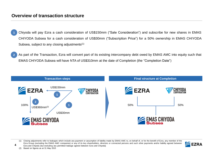- Chiyoda will pay Ezra a cash consideration of US\$150mm ("Sale Consideration") and subscribe for new shares in EMAS CHIYODA Subsea for a cash consideration of US\$30mm ("Subscription Price") for a 50% ownership in EMAS CHIYODA Subsea, subject to any closing adjustments<sup>(1)</sup> **1**
- As part of the Transaction, Ezra will convert part of its existing intercompany debt owed by EMAS AMC into equity such that EMAS CHIYODA Subsea will have NTA of US\$310mm at the date of Completion (the "Completion Date") **2**



(1) Closing adjustments refer to leakages which include any payment or assumption of liability made by EMAS AMC to, on behalf of, or for the benefit of Ezra, any member of the Ezra Group (excluding the EMAS AMC companies) or any of its key shareholders, directors or connected persons and such other payments and/or liability agreed between Ezra and Chiyoda (but excluding any permitted leakage agreed between Ezra and Chiyoda)



(2) Based on figures as at 31 May 2015

**4**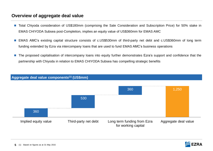#### **Overview of aggregate deal value**

**Aggregate deal value components(1) (US\$mm)**

- Total Chivoda consideration of US\$180mm (comprising the Sale Consideration and Subscription Price) for 50% stake in EMAS CHIYODA Subsea post-Completion, implies an equity value of US\$360mm for EMAS AMC
- EMAS AMC's existing capital structure consists of c.US\$530mm of third-party net debt and c.US\$360mm of long term funding extended by Ezra via intercompany loans that are used to fund EMAS AMC's business operations
- The proposed capitalisation of intercompany loans into equity further demonstrates Ezra's support and confidence that the partnership with Chiyoda in relation to EMAS CHIYODA Subsea has compelling strategic benefits



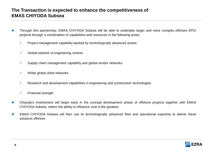# **The Transaction is expected to enhance the competitiveness of EMAS CHIYODA Subsea**

- Through this partnership, EMAS CHIYODA Subsea will be able to undertake larger and more complex offshore EPCI projects through a combination of capabilities and resources in the following areas:
	- $\checkmark$  Project management capability backed by technologically advanced assets
	- $\checkmark$  Global network of engineering centres
	- $\checkmark$  Supply chain management capability and global vendor networks
	- $\checkmark$  Wider global client networks
	- $\checkmark$  Research and development capabilities in engineering and construction technologies
	- $\checkmark$  Financial strength
- Chiyoda's involvement will begin early in the concept development phase of offshore projects together with EMAS CHIYODA Subsea, where the ability to influence cost is the greatest
- **EMAS CHIYODA Subsea will then use its technologically advanced fleet and operational expertise to deliver these** solutions offshore

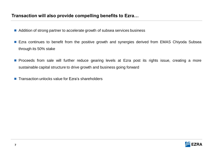### **Transaction will also provide compelling benefits to Ezra…**

- Addition of strong partner to accelerate growth of subsea services business
- **Exa continues to benefit from the positive growth and synergies derived from EMAS Chiyoda Subsea** through its 50% stake
- **Proceeds from sale will further reduce gearing levels at Ezra post its rights issue, creating a more** sustainable capital structure to drive growth and business going forward
- **Transaction unlocks value for Ezra's shareholders**

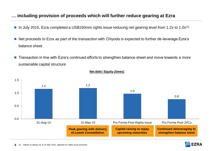# **… including provision of proceeds which will further reduce gearing at Ezra**

- In July 2015, Ezra completed a US\$150mm rights issue reducing net gearing level from 1.2x to 1.0 $x^{(1)}$
- Net proceeds to Ezra as part of the transaction with Chiyoda is expected to further de-leverage Ezra's balance sheet
- Transaction in line with Ezra's continued efforts to strengthen balance sheet and move towards a more sustainable capital structure



#### **Net debt / Equity (times)**

**8**